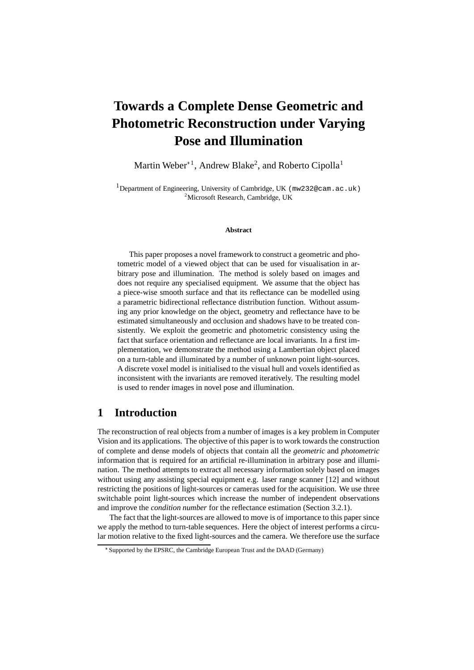# **Towards a Complete Dense Geometric and Photometric Reconstruction under Varying Pose and Illumination**

Martin Weber $^{\ast\,1}$ , Andrew Blake<sup>2</sup>, and Roberto Cipolla<sup>1</sup>

<sup>1</sup>Department of Engineering, University of Cambridge, UK ( $mw232@cam$ , ac.uk) <sup>2</sup>Microsoft Research, Cambridge, UK

#### **Abstract**

This paper proposes a novel framework to construct a geometric and photometric model of a viewed object that can be used for visualisation in arbitrary pose and illumination. The method is solely based on images and does not require any specialised equipment. We assume that the object has a piece-wise smooth surface and that its reflectance can be modelled using a parametric bidirectional reflectance distribution function. Without assuming any prior knowledge on the object, geometry and reflectance have to be estimated simultaneously and occlusion and shadows have to be treated consistently. We exploit the geometric and photometric consistency using the fact that surface orientation and reflectance are local invariants. In a first implementation, we demonstrate the method using a Lambertian object placed on a turn-table and illuminated by a number of unknown point light-sources. A discrete voxel model is initialised to the visual hull and voxels identified as inconsistent with the invariants are removed iteratively. The resulting model is used to render images in novel pose and illumination.

# **1 Introduction**

The reconstruction of real objects from a number of images is a key problem in Computer Vision and its applications. The objective of this paper is to work towards the construction of complete and dense models of objects that contain all the *geometric* and *photometric* information that is required for an artificial re-illumination in arbitrary pose and illumination. The method attempts to extract all necessary information solely based on images without using any assisting special equipment e.g. laser range scanner [12] and without restricting the positions of light-sources or cameras used for the acquisition. We use three switchable point light-sources which increase the number of independent observations and improve the *condition number* for the reflectance estimation (Section 3.2.1).

The fact that the light-sources are allowed to move is of importance to this paper since we apply the method to turn-table sequences. Here the object of interest performs a circular motion relative to the fixed light-sources and the camera. We therefore use the surface

Supported by the EPSRC, the Cambridge European Trust and the DAAD (Germany)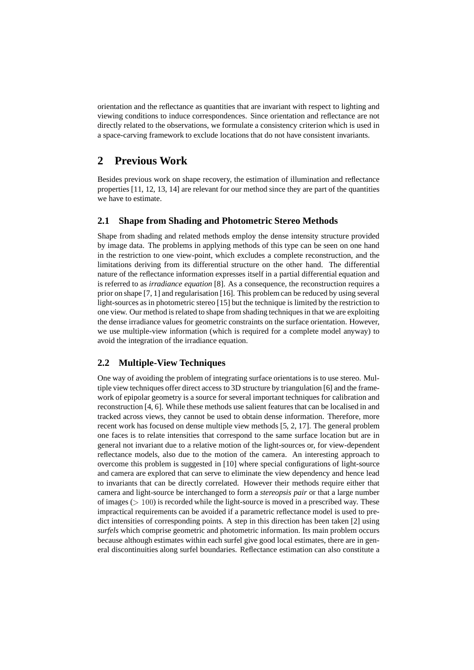orientation and the reflectance as quantities that are invariant with respect to lighting and viewing conditions to induce correspondences. Since orientation and reflectance are not directly related to the observations, we formulate a consistency criterion which is used in a space-carving framework to exclude locations that do not have consistent invariants.

# **2 Previous Work**

Besides previous work on shape recovery, the estimation of illumination and reflectance properties [11, 12, 13, 14] are relevant for our method since they are part of the quantities we have to estimate.

### **2.1 Shape from Shading and Photometric Stereo Methods**

Shape from shading and related methods employ the dense intensity structure provided by image data. The problems in applying methods of this type can be seen on one hand in the restriction to one view-point, which excludes a complete reconstruction, and the limitations deriving from its differential structure on the other hand. The differential nature of the reflectance information expresses itself in a partial differential equation and is referred to as *irradiance equation* [8]. As a consequence, the reconstruction requires a prior on shape [7, 1] and regularisation [16]. This problem can be reduced by using several light-sources as in photometric stereo [15] but the technique is limited by the restriction to one view. Our method is related to shape from shading techniques in that we are exploiting the dense irradiance values for geometric constraints on the surface orientation. However, we use multiple-view information (which is required for a complete model anyway) to avoid the integration of the irradiance equation.

### **2.2 Multiple-View Techniques**

One way of avoiding the problem of integrating surface orientations is to use stereo. Multiple view techniques offer direct access to 3D structure by triangulation [6] and the framework of epipolar geometry is a source for several important techniques for calibration and reconstruction [4, 6]. While these methods use salient features that can be localised in and tracked across views, they cannot be used to obtain dense information. Therefore, more recent work has focused on dense multiple view methods [5, 2, 17]. The general problem one faces is to relate intensities that correspond to the same surface location but are in general not invariant due to a relative motion of the light-sources or, for view-dependent reflectance models, also due to the motion of the camera. An interesting approach to overcome this problem is suggested in [10] where special configurations of light-source and camera are explored that can serve to eliminate the view dependency and hence lead to invariants that can be directly correlated. However their methods require either that camera and light-source be interchanged to form a *stereopsis pair* or that a large number of images ( $> 100$ ) is recorded while the light-source is moved in a prescribed way. These impractical requirements can be avoided if a parametric reflectance model is used to predict intensities of corresponding points. A step in this direction has been taken [2] using *surfels* which comprise geometric and photometric information. Its main problem occurs because although estimates within each surfel give good local estimates, there are in general discontinuities along surfel boundaries. Reflectance estimation can also constitute a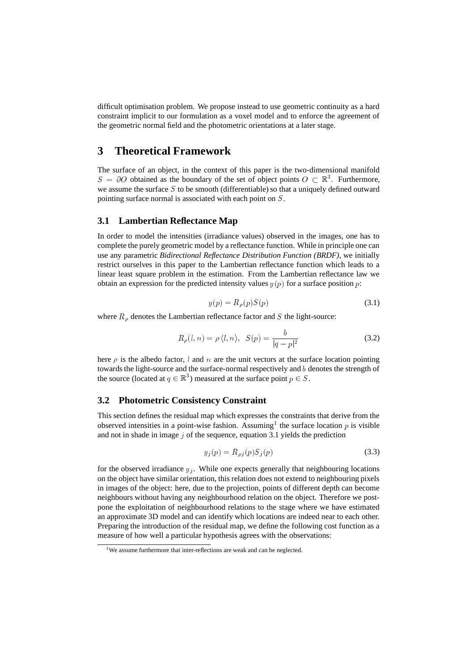difficult optimisation problem. We propose instead to use geometric continuity as a hard constraint implicit to our formulation as a voxel model and to enforce the agreement of the geometric normal field and the photometric orientations at a later stage.

# **3 Theoretical Framework**

The surface of an object, in the context of this paper is the two-dimensional manifold  $S = \partial O$  obtained as the boundary of the set of object points  $O \subset \mathbb{R}^3$ . Furthermore, we assume the surface  $S$  to be smooth (differentiable) so that a uniquely defined outward pointing surface normal is associated with each point on S.

### **3.1 Lambertian Reflectance Map**

In order to model the intensities (irradiance values) observed in the images, one has to complete the purely geometric model by a reflectance function. While in principle one can use any parametric *Bidirectional Reflectance Distribution Function (BRDF)*, we initially restrict ourselves in this paper to the Lambertian reflectance function which leads to a linear least square problem in the estimation. From the Lambertian reflectance law we obtain an expression for the predicted intensity values  $y(p)$  for a surface position p:

$$
y(p) = R_{\rho}(p)S(p) \tag{3.1}
$$

where  $R_{\rho}$  denotes the Lambertian reflectance factor and S the light-source:

$$
R_{\rho}(l,n) = \rho \langle l,n \rangle, \quad S(p) = \frac{b}{|q-p|^2}
$$
 (3.2)

here  $\rho$  is the albedo factor, l and n are the unit vectors at the surface location pointing towards the light-source and the surface-normal respectively and  $b$  denotes the strength of the source (located at  $q \in \mathbb{R}^3$ ) measured at the surface point  $p \in S$ .

### **3.2 Photometric Consistency Constraint**

This section defines the residual map which expresses the constraints that derive from the observed intensities in a point-wise fashion. Assuming<sup>1</sup> the surface location  $p$  is visible and not in shade in image  $\gamma$  of the sequence, equation 3.1 yields the prediction

$$
y_j(p) = R_{\rho j}(p) S_j(p) \tag{3.3}
$$

for the observed irradiance  $y_i$ . While one expects generally that neighbouring locations on the object have similar orientation, this relation does not extend to neighbouring pixels in images of the object: here, due to the projection, points of different depth can become neighbours without having any neighbourhood relation on the object. Therefore we postpone the exploitation of neighbourhood relations to the stage where we have estimated an approximate 3D model and can identify which locations are indeed near to each other. Preparing the introduction of the residual map, we define the following cost function as a measure of how well a particular hypothesis agrees with the observations:

<sup>&</sup>lt;sup>1</sup>We assume furthermore that inter-reflections are weak and can be neglected.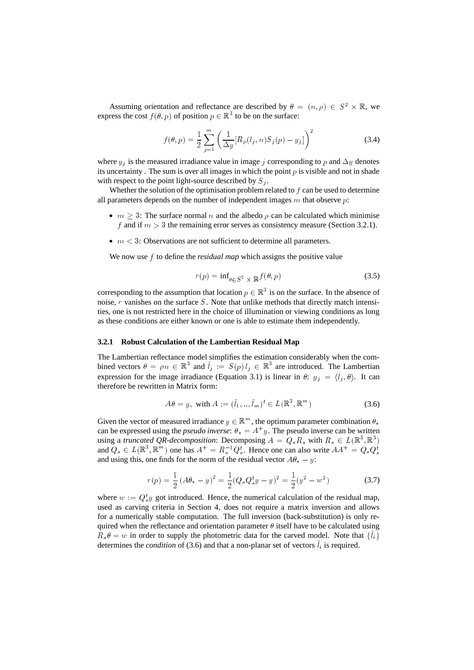Assuming orientation and reflectance are described by  $\theta = (n, \rho) \in S^2 \times \mathbb{R}$ , we express the cost  $f(\theta, p)$  of position  $p \in \mathbb{R}^3$  to be on the surface:

$$
f(\theta, p) = \frac{1}{2} \sum_{j=1}^{m} \left( \frac{1}{\Delta y} [R_{\rho}(l_j, n) S_j(p) - y_j] \right)^2
$$
 (3.4)

where  $y_i$  is the measured irradiance value in image j corresponding to p and  $\Delta y$  denotes its uncertainty. The sum is over all images in which the point  $p$  is visible and not in shade with respect to the point light-source described by  $S_i$ .

Whether the solution of the optimisation problem related to  $f$  can be used to determine all parameters depends on the number of independent images  $m$  that observe  $p$ :

- $m \geq 3$ : The surface normal *n* and the albedo  $\rho$  can be calculated which minimise f and if  $m > 3$  the remaining error serves as consistency measure (Section 3.2.1).
- $\bullet$   $m < 3$ : Observations are not sufficient to determine all parameters.

We now use  $f$  to define the *residual map* which assigns the positive value

$$
r(p) = \inf_{\theta \in S^2} \times \mathbb{R} f(\theta, p) \tag{3.5}
$$

corresponding to the assumption that location  $p \in \mathbb{R}^3$  is on the surface. In the absence of noise,  $r$  vanishes on the surface  $S$ . Note that unlike methods that directly match intensities, one is not restricted here in the choice of illumination or viewing conditions as long as these conditions are either known or one is able to estimate them independently.

#### **3.2.1 Robust Calculation of the Lambertian Residual Map**

The Lambertian reflectance model simplifies the estimation considerably when the combined vectors  $\theta = \rho n \in \mathbb{R}^3$  and  $l_j := S(p) l_j \in \mathbb{R}^3$  are introduced. The Lambertian expression for the image irradiance (Equation 3.1) is linear in  $\theta$ :  $y_i = \langle \tilde{l}_i, \theta \rangle$ . It can therefore be rewritten in Matrix form:

$$
A\theta = y, \text{ with } A := (\tilde{l}_1, ..., \tilde{l}_m)^t \in L(\mathbb{R}^3, \mathbb{R}^m)
$$
 (3.6)

Given the vector of measured irradiance  $y \in \mathbb{R}^m$ , the optimum parameter combination  $\theta_*$ can be expressed using the *pseudo inverse*:  $\theta_* = A^+ y$ . The pseudo inverse can be written using a *truncated QR-decomposition*: Decomposing  $A = Q_s R_s$  with  $R_s \in L(\mathbb{R}^3, \mathbb{R}^3)$ and  $Q_s \in L(\mathbb{R}^3, \mathbb{R}^m)$  one has  $A^+ = R_s^{-1} Q_s^t$ . Hence one can also write  $AA^+ = Q_s Q_s^t$ and using this, one finds for the norm of the residual vector  $A\theta_* - y$ :

$$
r(p) = \frac{1}{2} (A\theta_* - y)^2 = \frac{1}{2} (Q_s Q_s^t y - y)^2 = \frac{1}{2} (y^2 - w^2)
$$
 (3.7)

where  $w := Q_s^t y$  got introduced. Hence, the numerical calculation of the residual map, used as carving criteria in Section 4, does not require a matrix inversion and allows for a numerically stable computation. The full inversion (back-substitution) is only required when the reflectance and orientation parameter  $\theta$  itself have to be calculated using  $R_s \theta = w$  in order to supply the photometric data for the carved model. Note that  $\{l_i\}$ determines the *condition* of (3.6) and that a non-planar set of vectors  $\tilde{l}$ , is required.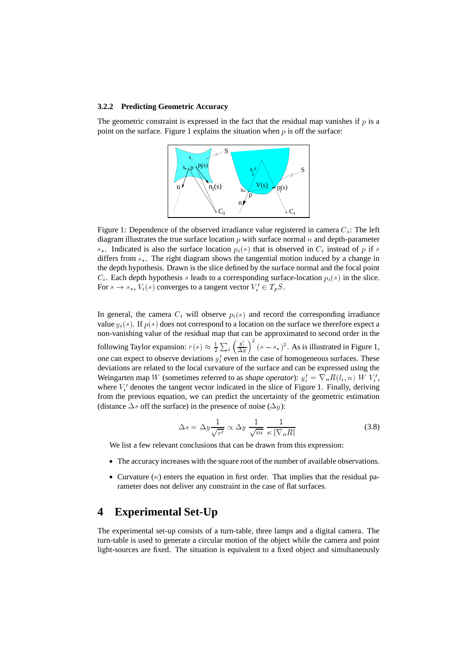#### **3.2.2 Predicting Geometric Accuracy**

The geometric constraint is expressed in the fact that the residual map vanishes if  $p$  is a point on the surface. Figure 1 explains the situation when  $p$  is off the surface:



Figure 1: Dependence of the observed irradiance value registered in camera  $C_i$ : The left diagram illustrates the true surface location  $p$  with surface normal  $n$  and depth-parameter  $s_{\ast}$ . Indicated is also the surface location  $p_i(s)$  that is observed in  $C_i$  instead of p if s differs from  $s_{*}$ . The right diagram shows the tangential motion induced by a change in the depth hypothesis. Drawn is the slice defined by the surface normal and the focal point  $C_i$ . Each depth hypothesis s leads to a corresponding surface-location  $p_i(s)$  in the slice. For  $s \to s_*, V_i(s)$  converges to a tangent vector  $V_i' \in T_p S$ .

In general, the camera  $C_i$  will observe  $p_i(s)$  and record the corresponding irradiance value  $y_i(s)$ . If  $p(s)$  does not correspond to a location on the surface we therefore expect a non-vanishing value of the residual map that can be approximated to second order in the following Taylor expansion:  $r(s) \approx \frac{1}{2} \sum_i \left(\frac{y_i'}{\Delta u}\right)^2 (s-s_*)^2$ . As is illustrated in Figure 1, one can expect to observe deviations  $y_i$  even in the case of homogeneous surfaces. These deviations are related to the local curvature of the surface and can be expressed using the Weingarten map W (sometimes referred to as *shape operator*):  $y_i' = \nabla_n R(l_i, n) W V_i'$ , where  $V_i$  denotes the tangent vector indicated in the slice of Figure 1. Finally, deriving from the previous equation, we can predict the uncertainty of the geometric estimation

$$
\Delta s = \Delta y \frac{1}{\sqrt{r'}} \propto \Delta y \frac{1}{\sqrt{m}} \frac{1}{\kappa |\nabla_n R|}
$$
\n(3.8)

We list a few relevant conclusions that can be drawn from this expression:

(distance  $\Delta s$  off the surface) in the presence of noise ( $\Delta y$ ):

- The accuracy increases with the square root of the number of available observations.
- Curvature  $(\kappa)$  enters the equation in first order. That implies that the residual parameter does not deliver any constraint in the case of flat surfaces.

# **4 Experimental Set-Up**

The experimental set-up consists of a turn-table, three lamps and a digital camera. The turn-table is used to generate a circular motion of the object while the camera and point light-sources are fixed. The situation is equivalent to a fixed object and simultaneously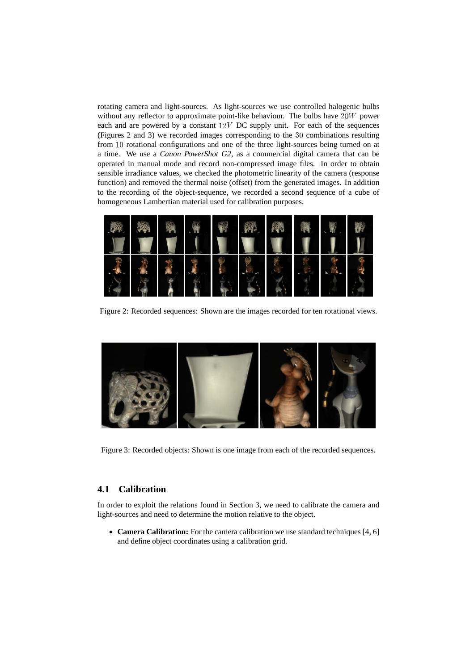rotating camera and light-sources. As light-sources we use controlled halogenic bulbs without any reflector to approximate point-like behaviour. The bulbs have  $20W$  power each and are powered by a constant  $12V$  DC supply unit. For each of the sequences (Figures 2 and 3) we recorded images corresponding to the 30 combinations resulting from  $10$  rotational configurations and one of the three light-sources being turned on at a time. We use a *Canon PowerShot G2*, as a commercial digital camera that can be operated in manual mode and record non-compressed image files. In order to obtain sensible irradiance values, we checked the photometric linearity of the camera (response function) and removed the thermal noise (offset) from the generated images. In addition to the recording of the object-sequence, we recorded a second sequence of a cube of homogeneous Lambertian material used for calibration purposes.



Figure 2: Recorded sequences: Shown are the images recorded for ten rotational views.



Figure 3: Recorded objects: Shown is one image from each of the recorded sequences.

### **4.1 Calibration**

In order to exploit the relations found in Section 3, we need to calibrate the camera and light-sources and need to determine the motion relative to the object.

 **Camera Calibration:** For the camera calibration we use standard techniques [4, 6] and define object coordinates using a calibration grid.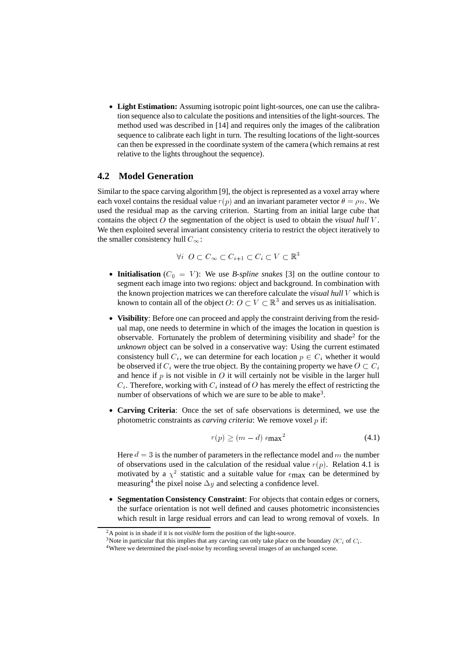**Light Estimation:** Assuming isotropic point light-sources, one can use the calibration sequence also to calculate the positions and intensities of the light-sources. The method used was described in [14] and requires only the images of the calibration sequence to calibrate each light in turn. The resulting locations of the light-sources can then be expressed in the coordinate system of the camera (which remains at rest relative to the lights throughout the sequence).

### **4.2 Model Generation**

Similar to the space carving algorithm [9], the object is represented as a voxel array where each voxel contains the residual value  $r(p)$  and an invariant parameter vector  $\theta = \rho n$ . We used the residual map as the carving criterion. Starting from an initial large cube that contains the object  $O$  the segmentation of the object is used to obtain the *visual hull*  $V$ . We then exploited several invariant consistency criteria to restrict the object iteratively to the smaller consistency hull  $C_{\infty}$ :

$$
\forall i \ \ O \subset C_{\infty} \subset C_{i+1} \subset C_i \subset V \subset \mathbb{R}^3
$$

- **Initialisation** ( $C_0 = V$ ): We use *B-spline snakes* [3] on the outline contour to segment each image into two regions: object and background. In combination with the known projection matrices we can therefore calculate the *visual hull* which is known to contain all of the object  $O: O \subset V \subset \mathbb{R}^3$  and serves us as initialisation.
- **Visibility**: Before one can proceed and apply the constraint deriving from the residual map, one needs to determine in which of the images the location in question is observable. Fortunately the problem of determining visibility and shade<sup>2</sup> for the *unknown* object can be solved in a conservative way: Using the current estimated consistency hull  $C_i$ , we can determine for each location  $p \in C_i$  whether it would be observed if  $C_i$  were the true object. By the containing property we have  $O \subset C_i$ and hence if  $p$  is not visible in  $O$  it will certainly not be visible in the larger hull  $C_i$ . Therefore, working with  $C_i$  instead of O has merely the effect of restricting the number of observations of which we are sure to be able to make<sup>3</sup>.
- **Carving Criteria**: Once the set of safe observations is determined, we use the photometric constraints as *carving criteria*: We remove voxel  $p$  if:

$$
r(p) \ge (m - d) \epsilon_{\text{max}}^2 \tag{4.1}
$$

Here  $d = 3$  is the number of parameters in the reflectance model and m the number of observations used in the calculation of the residual value  $r(p)$ . Relation 4.1 is motivated by a  $\chi^2$  statistic and a suitable value for  $\epsilon_{\text{max}}$  can be determined by measuring<sup>4</sup> the pixel noise  $\Delta y$  and selecting a confidence level.

 **Segmentation Consistency Constraint**: For objects that contain edges or corners, the surface orientation is not well defined and causes photometric inconsistencies which result in large residual errors and can lead to wrong removal of voxels. In

<sup>2</sup>A point is in shade if it is not *visible* form the position of the light-source.

<sup>&</sup>lt;sup>3</sup>Note in particular that this implies that any carving can only take place on the boundary  $\partial C_i$  of  $C_i$ .

<sup>4</sup>Where we determined the pixel-noise by recording several images of an unchanged scene.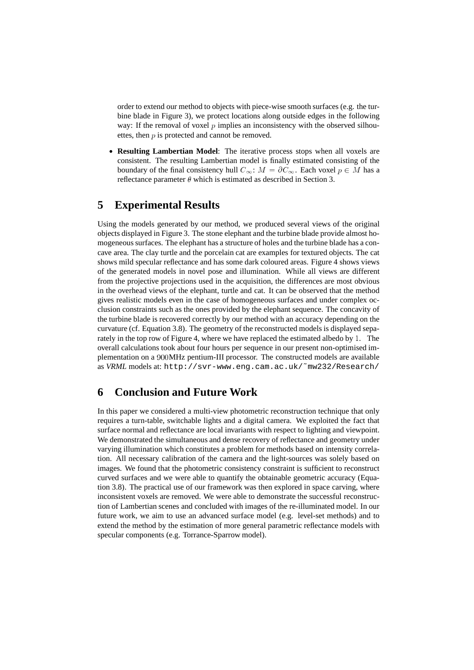order to extend our method to objects with piece-wise smooth surfaces (e.g. the turbine blade in Figure 3), we protect locations along outside edges in the following way: If the removal of voxel  $p$  implies an inconsistency with the observed silhouettes, then  $p$  is protected and cannot be removed.

 **Resulting Lambertian Model**: The iterative process stops when all voxels are consistent. The resulting Lambertian model is finally estimated consisting of the boundary of the final consistency hull  $C_{\infty}$ :  $M = \partial C_{\infty}$ . Each voxel  $p \in M$  has a reflectance parameter  $\theta$  which is estimated as described in Section 3.

# **5 Experimental Results**

Using the models generated by our method, we produced several views of the original objects displayed in Figure 3. The stone elephant and the turbine blade provide almost homogeneous surfaces. The elephant has a structure of holes and the turbine blade has a concave area. The clay turtle and the porcelain cat are examples for textured objects. The cat shows mild specular reflectance and has some dark coloured areas. Figure 4 shows views of the generated models in novel pose and illumination. While all views are different from the projective projections used in the acquisition, the differences are most obvious in the overhead views of the elephant, turtle and cat. It can be observed that the method gives realistic models even in the case of homogeneous surfaces and under complex occlusion constraints such as the ones provided by the elephant sequence. The concavity of the turbine blade is recovered correctly by our method with an accuracy depending on the curvature (cf. Equation 3.8). The geometry of the reconstructed models is displayed separately in the top row of Figure 4, where we have replaced the estimated albedo by . The overall calculations took about four hours per sequence in our present non-optimised implementation on a 900MHz pentium-III processor. The constructed models are available as *VRML* models at: http://svr-www.eng.cam.ac.uk/˜mw232/Research/

# **6 Conclusion and Future Work**

In this paper we considered a multi-view photometric reconstruction technique that only requires a turn-table, switchable lights and a digital camera. We exploited the fact that surface normal and reflectance are local invariants with respect to lighting and viewpoint. We demonstrated the simultaneous and dense recovery of reflectance and geometry under varying illumination which constitutes a problem for methods based on intensity correlation. All necessary calibration of the camera and the light-sources was solely based on images. We found that the photometric consistency constraint is sufficient to reconstruct curved surfaces and we were able to quantify the obtainable geometric accuracy (Equation 3.8). The practical use of our framework was then explored in space carving, where inconsistent voxels are removed. We were able to demonstrate the successful reconstruction of Lambertian scenes and concluded with images of the re-illuminated model. In our future work, we aim to use an advanced surface model (e.g. level-set methods) and to extend the method by the estimation of more general parametric reflectance models with specular components (e.g. Torrance-Sparrow model).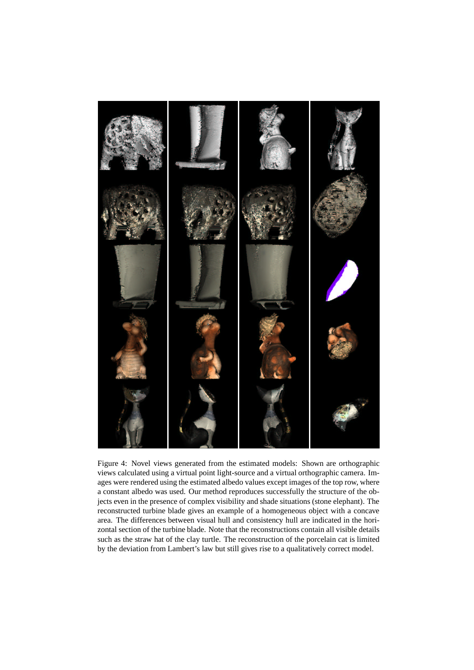

Figure 4: Novel views generated from the estimated models: Shown are orthographic views calculated using a virtual point light-source and a virtual orthographic camera. Images were rendered using the estimated albedo values except images of the top row, where a constant albedo was used. Our method reproduces successfully the structure of the objects even in the presence of complex visibility and shade situations (stone elephant). The reconstructed turbine blade gives an example of a homogeneous object with a concave area. The differences between visual hull and consistency hull are indicated in the horizontal section of the turbine blade. Note that the reconstructions contain all visible details such as the straw hat of the clay turtle. The reconstruction of the porcelain cat is limited by the deviation from Lambert's law but still gives rise to a qualitatively correct model.